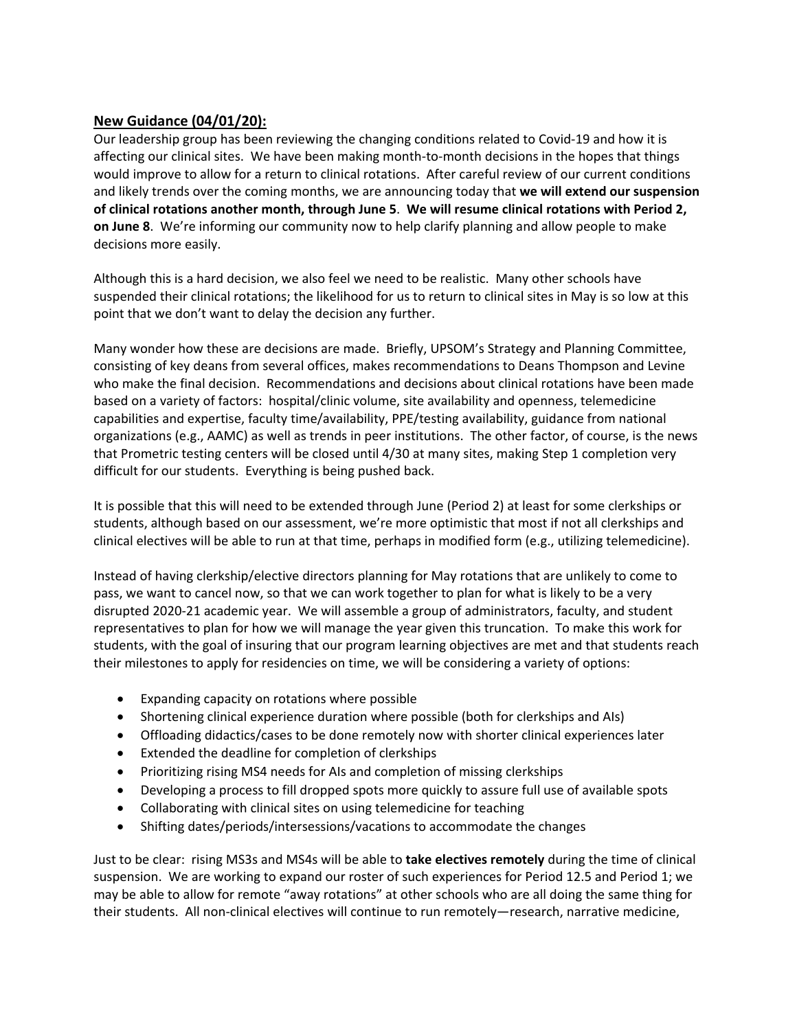## **New Guidance (04/01/20):**

Our leadership group has been reviewing the changing conditions related to Covid‐19 and how it is affecting our clinical sites. We have been making month-to-month decisions in the hopes that things would improve to allow for a return to clinical rotations. After careful review of our current conditions and likely trends over the coming months, we are announcing today that **we will extend our suspension of clinical rotations another month, through June 5**. **We will resume clinical rotations with Period 2, on June 8**. We're informing our community now to help clarify planning and allow people to make decisions more easily.

Although this is a hard decision, we also feel we need to be realistic. Many other schools have suspended their clinical rotations; the likelihood for us to return to clinical sites in May is so low at this point that we don't want to delay the decision any further.

Many wonder how these are decisions are made. Briefly, UPSOM's Strategy and Planning Committee, consisting of key deans from several offices, makes recommendations to Deans Thompson and Levine who make the final decision. Recommendations and decisions about clinical rotations have been made based on a variety of factors: hospital/clinic volume, site availability and openness, telemedicine capabilities and expertise, faculty time/availability, PPE/testing availability, guidance from national organizations (e.g., AAMC) as well as trends in peer institutions. The other factor, of course, is the news that Prometric testing centers will be closed until 4/30 at many sites, making Step 1 completion very difficult for our students. Everything is being pushed back.

It is possible that this will need to be extended through June (Period 2) at least for some clerkships or students, although based on our assessment, we're more optimistic that most if not all clerkships and clinical electives will be able to run at that time, perhaps in modified form (e.g., utilizing telemedicine).

Instead of having clerkship/elective directors planning for May rotations that are unlikely to come to pass, we want to cancel now, so that we can work together to plan for what is likely to be a very disrupted 2020‐21 academic year. We will assemble a group of administrators, faculty, and student representatives to plan for how we will manage the year given this truncation. To make this work for students, with the goal of insuring that our program learning objectives are met and that students reach their milestones to apply for residencies on time, we will be considering a variety of options:

- Expanding capacity on rotations where possible
- Shortening clinical experience duration where possible (both for clerkships and AIs)
- Offloading didactics/cases to be done remotely now with shorter clinical experiences later
- Extended the deadline for completion of clerkships
- Prioritizing rising MS4 needs for AIs and completion of missing clerkships
- Developing a process to fill dropped spots more quickly to assure full use of available spots
- Collaborating with clinical sites on using telemedicine for teaching
- Shifting dates/periods/intersessions/vacations to accommodate the changes

Just to be clear: rising MS3s and MS4s will be able to **take electives remotely** during the time of clinical suspension. We are working to expand our roster of such experiences for Period 12.5 and Period 1; we may be able to allow for remote "away rotations" at other schools who are all doing the same thing for their students. All non‐clinical electives will continue to run remotely—research, narrative medicine,